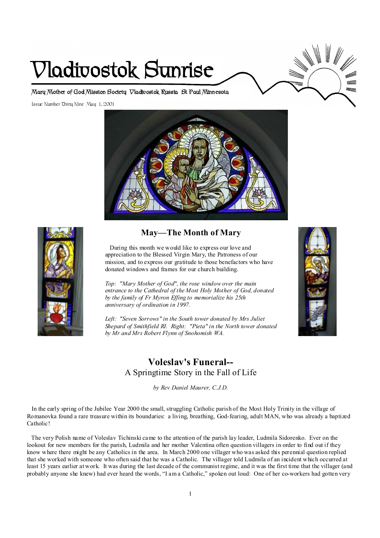# **Vladivostok Sunrise**

**Mary Mother of God Mission Society Vladivostok Russia St Paul Minnesota** 

Issue Number Thirty Nine May 1, 2001





# **May—The Month of Mary**

During this month we would like to express our love and appreciation to the Blessed Virgin Mary, the Patroness of our mission, and to express our gratitude to those benefactors who have donated windows and frames for our church building.

*Top: "Mary Mother of God", the rose window over the main entrance to the Cathedral of the Most Holy Mother of God, donated by the family of Fr Myron Effing to memorialize his 25th anniversary of ordination in 1997.* 

*Left: "Seven Sorrows" in the South tower donated by Mrs Juliet Shepard of Smithfield RI. Right: "Pieta" in the North tower donated by Mr and Mrs Robert Flynn of Snohomish WA.* 

# **Voleslav's Funeral--**  A Springtime Story in the Fall of Life

*by Rev Daniel Maurer, C.J.D.* 

In the early spring of the Jubilee Year 2000 the small, struggling Catholic parish of the Most Holy Trinity in the village of Romanovka found a rare treasure within its boundaries: a living, breathing, God-fearing, adult MAN, who was already a baptized Catholic!

The very Polish name of Voleslav Tichinski came to the attention of the parish lay leader, Ludmila Sidorenko. Ever on the lookout for new members for the parish, Ludmila and her mother Valentina often question villagers in order to find out if they know where there might be any Catholics in the area. In March 2000 one villager who was asked this perennial question replied that she worked with someone who often said that he was a Catholic. The villager told Ludmila of an incident which occurred at least 15 years earlier at work. It was during the last decade of the communist regime, and it was the first time that the villager (and probably anyone she knew) had ever heard the words, "I am a Catholic," spoken out loud: One of her co-workers had gotten very

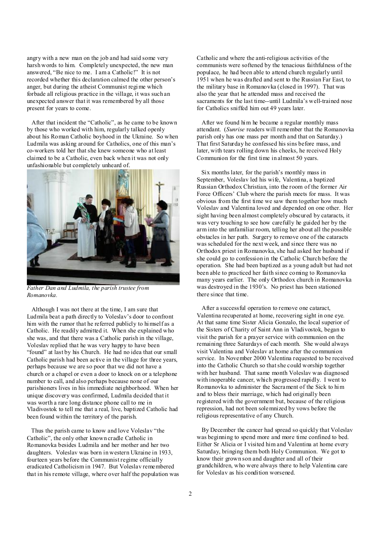angry with a new man on the job and had said some very harsh words to him. Completely unexpected, the new man answered, "Be nice to me. I am a Catholic!" It is not recorded whether this declaration calmed the other person's anger, but during the atheist Communist regime which forbade all religious practice in the village, it was such an unexpected answer that it was remembered by all those present for years to come.

After that incident the "Catholic", as he came to be known by those who worked with him, regularly talked openly about his Roman Catholic boyhood in the Ukraine. So when Ludmila was asking around for Catholics, one of this man's co-workers told her that she knew someone who at least claimed to be a Catholic, even back when it was not only unfashionable but completely unheard of.



*Father Dan and Ludmila, the parish trustee from Romanovka.* 

Although I was not there at the time, I am sure that Ludmila beat a path directly to Voleslav's door to confront him with the rumor that he referred publicly to himself as a Catholic. He readily admitted it. When she explained who she was, and that there was a Catholic parish in the village, Voleslav replied that he was very happy to have been "found" at last by his Church. He had no idea that our small Catholic parish had been active in the village for three years, perhaps because we are so poor that we did not have a church or a chapel or even a door to knock on or a telephone number to call, and also perhaps because none of our parishioners lives in his immediate neighborhood. When her unique discovery was confirmed, Ludmila decided that it was worth a rare long distance phone call to me in Vladivostok to tell me that a real, live, baptized Catholic had been found within the territory of the parish.

Thus the parish came to know and love Voleslav "the Catholic", the only other known cradle Catholic in Romanovka besides Ludmila and her mother and her two daughters. Voleslav was born in western Ukraine in 1933, fourteen years before the Communist regime officially eradicated Catholicism in 1947. But Voleslav remembered that in his remote village, where over half the population was Catholic and where the anti-religious activities of the communists were softened by the tenacious faithfulness of the populace, he had been able to attend church regularly until 1951 when he was drafted and sent to the Russian Far East, to the military base in Romanovka (closed in 1997). That was also the year that he attended mass and received the sacraments for the last time--until Ludmila's well-trained nose for Catholics sniffed him out 49 years later.

 After we found him he became a regular monthly mass attendant. (*Sunrise* readers will remember that the Romanovka parish only has one mass per month and that on Saturday.) That first Saturday he confessed his sins before mass, and later, with tears rolling down his cheeks, he received Holy Communion for the first time in almost 50 years.

 Six months later, for the parish's monthly mass in September, Voleslav led his wife, Valentina, a baptized Russian Orthodox Christian, into the room of the former Air Force Officers' Club where the parish meets for mass. It was obvious from the first time we saw them together how much Voleslav and Valentina loved and depended on one other. Her sight having been almost completely obscured by cataracts, it was very touching to see how carefully he guided her by the arm into the unfamiliar room, telling her about all the possible obstacles in her path. Surgery to remove one of the cataracts was scheduled for the next week, and since there was no Orthodox priest in Romanovka, she had asked her husband if she could go to confession in the Catholic Church before the operation. She had been baptized as a young adult but had not been able to practiced her faith since coming to Romanovka many years earlier. The only Orthodox church in Romanovka was destroyed in the 1930's. No priest has been stationed there since that time.

 After a successful operation to remove one cataract, Valentina recuperated at home, recovering sight in one eye. At that same time Sister Alicia Gonzalo, the local superior of the Sisters of Charity of Saint Ann in Vladivostok, began to visit the parish for a prayer service with communion on the remaining three Saturdays of each month. She would always visit Valentina and Voleslav at home after the communion service. In November 2000 Valentina requested to be received into the Catholic Church so thatshe could worship together with her husband. That same month Voleslav was diagnosed with inoperable cancer, which progressed rapidly. I went to Romanovka to administer the Sacrament of the Sick to him and to bless their marriage, which had originally been registered with the government but, because of the religious repression, had not been solemnized by vows before the religious representative of any Church.

 By December the cancer had spread so quickly that Voleslav was beginning to spend more and more time confined to bed. Either Sr Alicia or I visited him and Valentina at home every Saturday, bringing them both Holy Communion. We got to know their grown son and daughter and all of their grandchildren, who were always there to help Valentina care for Voleslav as his condition worsened.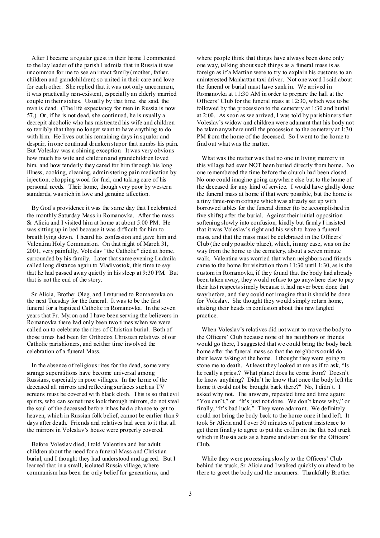After I became a regular guest in their home I commented to the lay leader of the parish Ludmila that in Russia it was uncommon for me to see an intact family (mother, father, children and grandchildren) so united in their care and love for each other. She replied that it was not only uncommon, it was practically non-existent, especially an elderly married couple in their sixties. Usually by that time, she said, the man is dead. (The life expectancy for men in Russia is now 57.) Or, if he is not dead, she continued, he is usually a decrepit alcoholic who has mistreated his wife and children so terribly that they no longer want to have anything to do with him. He lives out his remaining days in squalor and despair, in one continual drunken stupor that numbs his pain. But Voleslav was a shining exception. It was very obvious how much his wife and children and grandchildren loved him, and how tenderly they cared for him through his long illness, cooking, cleaning, administering pain medication by injection, chopping wood for fuel, and taking care of his personal needs. Their home, though very poor by western standards, was rich in love and genuine affection.

By God's providence it was the same day that I celebrated the monthly Saturday Mass in Romanovka. After the mass Sr Alicia and I visited him at home at about 5:00 PM. He was sitting up in bed because it was difficult for him to breath lying down. I heard his confession and gave him and Valentina Holy Communion. On that night of March 31, 2001, very painfully, Voleslav "the Catholic" died at home, surrounded by his family. Later thatsame evening Ludmila called long distance again to Vladivostok, this time to say that he had passed away quietly in his sleep at 9:30 PM. But that is not the end of the story.

Sr Alicia, Brother Oleg, and I returned to Romanovka on the next Tuesday for the funeral. It was to be the first funeral for a baptized Catholic in Romanovka. In the seven years that Fr. Myron and I have been serving the believers in Romanovka there had only been two times when we were called on to celebrate the rites of Christian burial. Both of those times had been for Orthodox Christian relatives of our Catholic parishioners, and neither time involved the celebration of a funeral Mass.

In the absence of religious rites for the dead, some very strange superstitions have become universal among Russians, especially in poor villages. In the home of the deceased all mirrors and reflecting surfaces such as TV screens must be covered with black cloth. This is so that evil spirits, who can sometimes look through mirrors, do not steal the soul of the deceased before it has had a chance to get to heaven, which in Russian folk belief, cannot be earlier than 9 days after death. Friends and relatives had seen to it that all the mirrors in Voleslav's house were properly covered.

Before Voleslav died, I told Valentina and her adult children about the need for a funeral Mass and Christian burial, and I thought they had understood and agreed. But I learned that in a small, isolated Russia village, where communism has been the only belief for generations, and

where people think that things have always been done only one way, talking aboutsuch things as a funeral mass is as foreign as if a Martian were to try to explain his customs to an uninterested Manhattan taxi driver. Not one word I said about the funeral or burial must have sunk in. We arrived in Romanovka at 11:30 AM in order to prepare the hall at the Officers' Club for the funeral mass at 12:30, which was to be followed by the procession to the cemetery at 1:30 and burial at 2:00. As soon as we arrived, I was told by parishioners that Voleslav's widow and children were adamant that his body not be taken anywhere until the procession to the cemetery at 1:30 PM from the home of the deceased. So I went to the home to find out what was the matter.

 What was the matter was that no one in living memory in this village had ever NOT been buried directly from home. No one remembered the time before the church had been closed. No one could imagine going anywhere else but to the home of the deceased for any kind of service. I would have gladly done the funeral mass at home if that were possible, but the home is a tiny three-room cottage which was already set up with borrowed tables for the funeral dinner (to be accomplished in five shifts) after the burial. Against their initial opposition softening slowly into confusion, kindly but firmly I insisted that it was Voleslav's right and his wish to have a funeral mass, and that the mass must be celebrated in the Officers' Club (the only possible place), which, in any case, was on the way from the home to the cemetery, about a seven minute walk. Valentina was worried that when neighbors and friends came to the home for visitation from 11:30 until 1:30, as is the custom in Romanovka, if they found that the body had already been taken away, they would refuse to go anywhere else to pay their last respects simply because it had never been done that way before, and they could not imagine that it should be done for Voleslav. She thought they would simply return home, shaking their heads in confusion about this newfangled practice.

 When Voleslav's relatives did not want to move the body to the Officers' Club because none of his neighbors or friends would go there, I suggested that we could bring the body back home after the funeral mass so that the neighbors could do their leave taking at the home. I thought they were going to stone me to death. At least they looked at me as if to ask, "Is he really a priest? What planet does he come from? Doesn't he know anything? Didn't he know that once the body left the home it could not be brought back there?" No, I didn't. I asked why not. The answers, repeated time and time again: "You can't," or "It's just not done. We don't know why," or finally, "It's bad luck." They were adamant. We definitely could not bring the body back to the home once it had left. It took Sr Alicia and I over 30 minutes of patient insistence to get them finally to agree to put the coffin on the flat bed truck which in Russia acts as a hearse and start out for the Officers' Club.

While they were processing slowly to the Officers' Club behind the truck, Sr Alicia and I walked quickly on ahead to be there to greet the body and the mourners. Thankfully Brother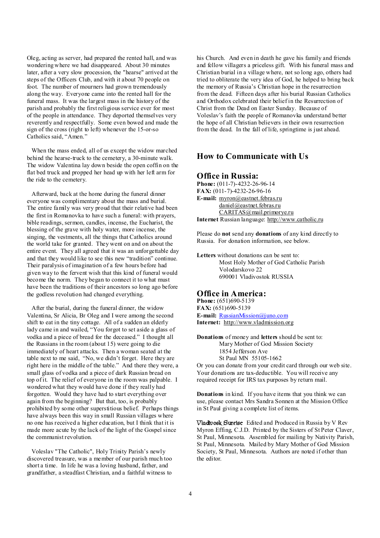Oleg, acting as server, had prepared the rented hall, and was wondering where we had disappeared. About 30 minutes later, after a very slow procession, the "hearse" arrived at the steps of the Officers Club, and with it about 70 people on foot. The number of mourners had grown tremendously along the way. Everyone came into the rented hall for the funeral mass. It was the largest mass in the history of the parish and probably the first religious service ever for most of the people in attendance. They deported themselves very reverently and respectfully. Some even bowed and made the sign of the cross (right to left) whenever the 15-or-so Catholics said, "Amen."

When the mass ended, all of us except the widow marched behind the hearse-truck to the cemetery, a 30-minute walk. The widow Valentina lay down beside the open coffin on the flat bed truck and propped her head up with her left arm for the ride to the cemetery.

Afterward, back at the home during the funeral dinner everyone was complimentary about the mass and burial. The entire family was very proud that their relative had been the first in Romanovka to have such a funeral: with prayers, bible readings, sermon, candles, incense, the Eucharist, the blessing of the grave with holy water, more incense, the singing, the vestments, all the things that Catholics around the world take for granted. They went on and on about the entire event. They all agreed that it was an unforgettable day and that they would like to see this new "tradition" continue. Their paralysis of imagination of a few hours before had given way to the fervent wish that this kind of funeral would become the norm. They began to connect it to what must have been the traditions of their ancestors so long ago before the godless revolution had changed everything.

After the burial, during the funeral dinner, the widow Valentina, Sr Alicia, Br Oleg and I were among the second shift to eat in the tiny cottage. All of a sudden an elderly lady came in and wailed, "You forgot to set aside a glass of vodka and a piece of bread for the deceased." I thought all the Russians in the room (about 15) were going to die immediately of heart attacks. Then a woman seated at the table next to me said, "No, we didn't forget. Here they are right here in the middle of the table." And there they were, a small glass of vodka and a piece of dark Russian bread on top of it. The relief of everyone in the room was palpable. I wondered what they would have done if they really had forgotten. Would they have had to start everything over again from the beginning? But that, too, is probably prohibited by some other superstitious belief. Perhaps things have always been this way in small Russian villages where no one has received a higher education, but I think that it is made more acute by the lack of the light of the Gospel since the communist revolution.

Voleslav "The Catholic", Holy Trinity Parish's newly discovered treasure, was a member of our parish much too short a time. In life he was a loving husband, father, and grandfather, a steadfast Christian, and a faithful witness to

his Church. And even in death he gave his family and friends and fellow villagers a priceless gift. With his funeral mass and Christian burial in a village where, not so long ago, others had tried to obliterate the very idea of God, he helped to bring back the memory of Russia's Christian hope in the resurrection from the dead. Fifteen days after his burial Russian Catholics and Orthodox celebrated their belief in the Resurrection of Christ from the Dead on Easter Sunday. Because of Voleslav's faith the people of Romanovka understand better the hope of all Christian believers in their own resurrection from the dead. In the fall of life, springtime is just ahead.

### **How to Communicate with Us**

#### **Office in Russia:**

**Phone:** (011-7)-4232-26-96-14 **FAX:** (011-7)-4232-26-96-16 **E-mail:** [myron@eastnet.febras.ru](mailto:myron@eastnet.febras.ru) [daniel@eastnet.febras.ru](mailto:daniel@eastnet.febras.ru) [CARITAS@mail.primorye.ru](mailto:CARITAS@mail.primorye.ru) **Internet** Russian language: <http://www.catholic.ru>

Please do **not** send any **donations** of any kind directly to Russia. For donation information, see below.

**Letters** without donations can be sent to: Most Holy Mother of God Catholic Parish Volodarskovo 22 690001 Vladivostok RUSSIA

#### **Office in America:**

**Phone:** (651)690-5139 **FAX:** (651)690-5139 **E-mail:** [RussianMission@juno.com](mailto:RussianMission@juno.com) **Internet:** <http://www.vladmission.org>

**Donations** of money and **letters** should be sent to: Mary Mother of God Mission Society 1854 Jefferson Ave St Paul MN 55105-1662

Or you can donate from your credit card through our web site. Your donations are tax-deductible. You will receive any required receipt for IRS tax purposes by return mail.

**Donations** in kind. If you have items that you think we can use, please contact Mrs Sandra Sonnen at the Mission Office in St Paul giving a complete list of items.

**Vladivosk Sunrise** Edited and Produced in Russia by V Rev Myron Effing, C.J.D. Printed by the Sisters of St Peter Claver, St Paul, Minnesota. Assembled for mailing by Nativity Parish, St Paul, Minnesota. Mailed by Mary Mother of God Mission Society, St Paul, Minnesota. Authors are noted if other than the editor.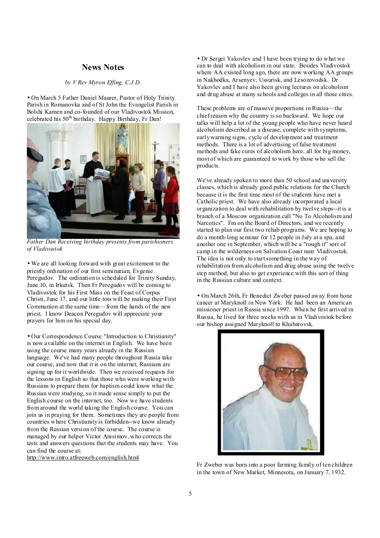# **News Notes**

#### *by V Rev Myron Effing, C.J.D.*

• On March 5 Father Daniel Maurer, Pastor of Holy Trinity Parish in Romanovka and of St John the Evangelist Parish in Bolshi Kamen and co-founded of our Vladivostok Mission, celebrated his  $50<sup>th</sup>$  birthday. Happy Birthday, Fr Dan!



*Father Dan Receiving birthday presents from parishioners of Vladivostok* 

• We are all looking forward with great excitement to the priestly ordination of our first seminarian, Evgenie Peregudov. The ordination is scheduled for Trinity Sunday. June 10, in Irkutsk. Then Fr Peregudov will be coming to Vladivostok for his First Mass on the Feast of Corpus Christi, June 17, and our little tots will be making their First Communion at the same time—from the hands of the new priest. I know Deacon Peregudov will appreciate your prayers for him on his special day.

• Our Correspondence Course "Introduction to Christianity" is now available on the internet in English. We have been using the course many years already in the Russian language. We've had many people throughout Russia take our course, and now that it is on the internet, Russians are signing up for it worldwide. Then we received requests for the lessons in English so that those who were working with Russians to prepare them for baptism could know what the Russian were studying, so it made sense simply to put the English course on the internet, too. Now we have students from around the world taking the English course. You can join us in praying for them. Sometimes they are people from countries where Christianity is forbidden--we know already from the Russian version of the course. The course is managed by our helper Victor Anisimov, who corrects the tests and answers questions that the students may have. You can find the course at:

<http://www.intro.atfreeweb.com/english.html>

• Dr Sergei Yakovlev and I have been trying to do what we can to deal with alcoholism in our state. Besides Vladivostok where AA existed long ago, there are now working AA groups in Nakhodka, Arsenyev, Ussurisk, and Lesozovodsk. Dr Yakovlev and I have also been giving lectures on alcoholism and drug abuse at many schools and colleges in all those cities.

These problems are of massive proportions in Russia—the chief reason why the country is so backward. We hope our talks will help a lot of the young people who have never heard alcoholism described as a disease, complete with symptoms, early warning signs, cycle of development and treatment methods. There is a lot of advertising of false treatment methods and fake cures of alcoholism here, all for big money, most of which are guaranteed to work by those who sell the products.

We've already spoken to more than 50 school and university classes, which is already good public relations for the Church because it is the first time most of the students have met a Catholic priest. We have also already incorporated a local organization to deal with rehabilitation by twelve steps--it is a branch of a Moscow organization call "No To Alcoholism and Narcotics". I'm on the Board of Directors, and we recently started to plan our first two rehab programs. We are hoping to do a month-long seminar for 12 people in July at a spa, and another one in September, which will be a "rough it" sort of camp in the wilderness on Salvation Coast near Vladivostok. The idea is not only to startsomething in the way of rehabilitation from alcoholism and drug abuse using the twelve step method, but also to get experience with this sort of thing in the Russian culture and context.

• On March 26th, Fr Benedict Zweber passed away from bone cancer at Maryknoll in New York. He had been an American missioner priest in Russia since 1997. When he first arrived in Russia, he lived for three weeks with us in Vladivostok before our bishop assigned Maryknoll to Khabarovsk.



 Fr Zweber was born into a poor farming family of ten children in the town of New Market, Minnesota, on January 7, 1932.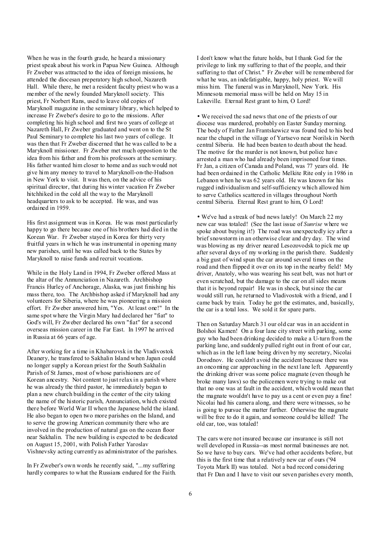When he was in the fourth grade, he heard a missionary priest speak about his work in Papua New Guinea. Although Fr Zweber was attracted to the idea of foreign missions, he attended the diocesan preperatory high school, Nazareth Hall. While there, he met a resident faculty priest who was a member of the newly founded Maryknoll society. This priest, Fr Norbert Rans, used to leave old copies of Maryknoll magazine in the seminary library, which helped to increase Fr Zweber's desire to go to the missions. After completing his high school and first two years of college at Nazareth Hall, Fr Zweber graduated and went on to the St Paul Seminary to complete his last two years of college. It was then that Fr Zweber discerned that he was called to be a Maryknoll missioner. Fr Zweber met much oppostion to the idea from his father and from his professors at the seminary. His father wanted him closer to home and as such would not give him any money to travel to Maryknoll-on-the-Hudson in New York to visit. It was then, on the advice of his spiritual director, that during his winter vacation Fr Zweber hitchhiked in the cold all the way to the Maryknoll headquarters to ask to be accepted. He was, and was ordained in 1959.

His first assignment was in Korea. He was most particularly happy to go there because one of his brothers had died in the Korean War. Fr Zweber stayed in Korea for thirty very fruitful years in which he was instrumental in opening many new parishes, until he was called back to the States by Maryknoll to raise funds and recruit vocations.

While in the Holy Land in 1994, Fr Zweber offered Mass at the altar of the Annunciation in Nazareth. Archbishop Francis Hurley of Anchorage, Alaska, was just finishing his mass there, too. The Archbishop asked if Maryknoll had any volunteers for Siberia, where he was pioneering a mission effort. Fr Zweber answered him, "Yes. At least one!" In the same spot where the Virgin Mary had declared her "fiat" to God's will, Fr Zweber declared his own "fiat" for a second overseas mission career in the Far East. In 1997 he arrived in Russia at 66 years of age.

After working for a time in Khabarovsk in the Vladivostok Deanery, he transfered to Sakhalin Island when Japan could no longer supply a Korean priest for the South Sakhalin Parish of St James, most of whose parishioners are of Korean ancestry. Not content to just relax in a parish where he was already the third pastor, he immediately began to plan a new church building in the center of the city taking the name of the historic parish, Annunciation, which existed there before World War II when the Japanese held the island. He also began to open two more parishes on the Island, and to serve the growing American community there who are involved in the production of natural gas on the ocean floor near Sakhalin. The new building is expected to be dedicated on August 15, 2001, with Polish Father Yaroslav Vishnevsky acting currently as administrator of the parishes.

In Fr Zweber's own words he recently said, "...my suffering hardly compares to what the Russians endured for the Faith. I don't know what the future holds, but I thank God for the privilege to link my suffering to that of the people, and their suffering to that of Christ." Fr Zweber will be remembered for what he was, an indefatigable, happy, holy priest. We will miss him. The funeral was in Maryknoll, New York. His Minnesota memorial mass will be held on May 15 in Lakeville. Eternal Rest grant to him, O Lord!

• We received the sad news that one of the priests of our diocese was murdered, probably on Easter Sunday morning. The body of Father Jan Frantskewicz was found tied to his bed near the chapel in the village of Yartsevo near Norilsk in North central Siberia. He had been beaten to death about the head. The motive for the murder is not known, but police have arrested a man who had already been imprisoned four times. Fr Jan, a citizen of Canada and Poland, was 77 years old. He had been ordained in the Catholic Melkite Rite only in 1986 in Lebanon when he was 62 years old. He was known for his rugged individualism and self-sufficiency which allowed him to serve Catholics scattered in villages throughout North central Siberia. Eternal Rest grant to him, O Lord!

• We've had a streak of bad news lately! On March 22 my new car was totaled! (See the last issue of *Sunrise* where we spoke about buying it!) The road was unexpectedly icy after a brief snowstorm in an otherwise clear and dry day. The wind was blowing as my driver neared Lesozovodsk to pick me up after several days of my working in the parish there. Suddenly a big gust of wind spun the car around several times on the road and then flipped it over on its top in the nearby field! My driver, Anatoly, who was wearing his seat belt, was not hurt or even scratched, but the damage to the car on all sides means that it is beyond repair! He was in shock, butsince the car would still run, he returned to Vladivostok with a friend, and I came back by train. Today he got the estimates, and, basically, the car is a total loss. We sold it for spare parts.

Then on Saturday March 31 our old car was in an accident in Bolshoi Kamen! On a four lane city street with parking, some guy who had been drinking decided to make a U-turn from the parking lane, and suddenly pulled right out in front of our car, which as in the left lane being driven by my secretary, Nicolai Dorodnov. He couldn't avoid the accident because there was an oncoming car approaching in the next lane left. Apparently the drinking driver was some police magnate (even though he broke many laws) so the policemen were trying to make out that no one was at fault in the accident, which would mean that the magnate wouldn't have to pay us a cent or even pay a fine! Nicolai had his camera along, and there were witnesses, so he is going to pursue the matter further. Otherwise the magnate will be free to do it again, and someone could be killed! The old car, too, was totaled!

The cars were not insured because car insurance is still not well developed in Russia--as most normal businesses are not. So we have to buy cars. We've had other accidents before, but this is the first time that a relatively new car of ours ('94 Toyota Mark II) was totaled. Not a bad record considering that Fr Dan and I have to visit our seven parishes every month,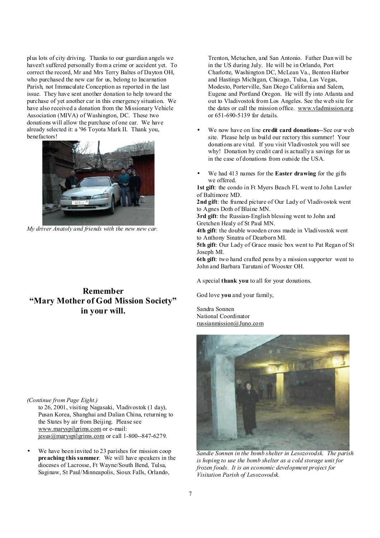plus lots of city driving. Thanks to our guardian angels we haven't suffered personally from a crime or accident yet. To correct the record, Mr and Mrs Terry Baltes of Dayton OH, who purchased the new car for us, belong to Incarnation Parish, not Immaculate Conception as reported in the last issue. They have sent another donation to help toward the purchase of yet another car in this emergency situation. We have also received a donation from the Missionary Vehicle Association (MIVA) of Washington, DC. These two donations will allow the purchase of one car. We have already selected it: a '96 Toyota Mark II. Thank you, benefactors!



*My driver Anatoly and friends with the new new car.* 

# **Remember "Mary Mother of God Mission Society" in your will.**

#### *(Continue from Page Eight.)*

to 26, 2001, visiting Nagasaki, Vladivostok (1 day), Pusan Korea, Shanghai and Dalian China, returning to the States by air from Beijing. Please see [www.maryspilgrims.com](http://www.maryspilgrims.com) or e-mail: [jesus@maryspilgrims.com](mailto:jesus@maryspilgrims.com) or call 1-800--847-6279.

We have been invited to 23 parishes for mission coop **preaching this summer**. We will have speakers in the dioceses of Lacrosse, Ft Wayne/South Bend, Tulsa, Saginaw, St Paul/Minneapolis, Sioux Falls, Orlando,

Trenton, Metuchen, and San Antonio. Father Dan will be in the US during July. He will be in Orlando, Port Charlotte, Washington DC, McLean Va., Benton Harbor and Hastings Michigan, Chicago, Tulsa, Las Vegas, Modesto, Porterville, San Diego California and Salem, Eugene and Portland Oregon. He will fly into Atlanta and out to Vladivostok from Los Angeles. See the web site for the dates or call the mission office. [www.vladmission.org](http://www.vladmission.org) or 651-690-5139 for details.

- We now have on line **credit card donations**--See our web site. Please help us build our rectory this summer! Your donations are vital. If you visit Vladivostok you will see why! Donation by credit card is actually a savings for us in the case of donations from outside the USA.
- We had 413 names for the **Easter drawing** for the gifts we offered.

**1st gift**: the condo in Ft Myers Beach FL went to John Lawler of Baltimore MD.

**2nd gift**: the framed picture of Our Lady of Vladivostok went to Agnes Doth of Blaine MN.

**3rd gift**: the Russian-English blessing went to John and Gretchen Healy of St Paul MN.

**4th gift**: the double wooden cross made in Vladivostok went to Anthony Sinatra of Dearborn MI.

**5th gift**: Our Lady of Grace music box went to Pat Regan of St Joseph MI.

**6th gift**: two hand crafted pens by a mission supporter went to John and Barbara Tarutani of Wooster OH.

A special **thank you** to all for your donations.

God love **you** and your family,

Sandra Sonnen National Coordinator [russianmission@Juno.com](mailto:russianmission@Juno.com)



*Sandie Sonnen in the bomb shelter in Lesozovodsk. The parish is hoping to use the bomb shelter as a cold storage unit for frozen foods. It is an economic development project for Visitation Parish of Lesozovodsk.*